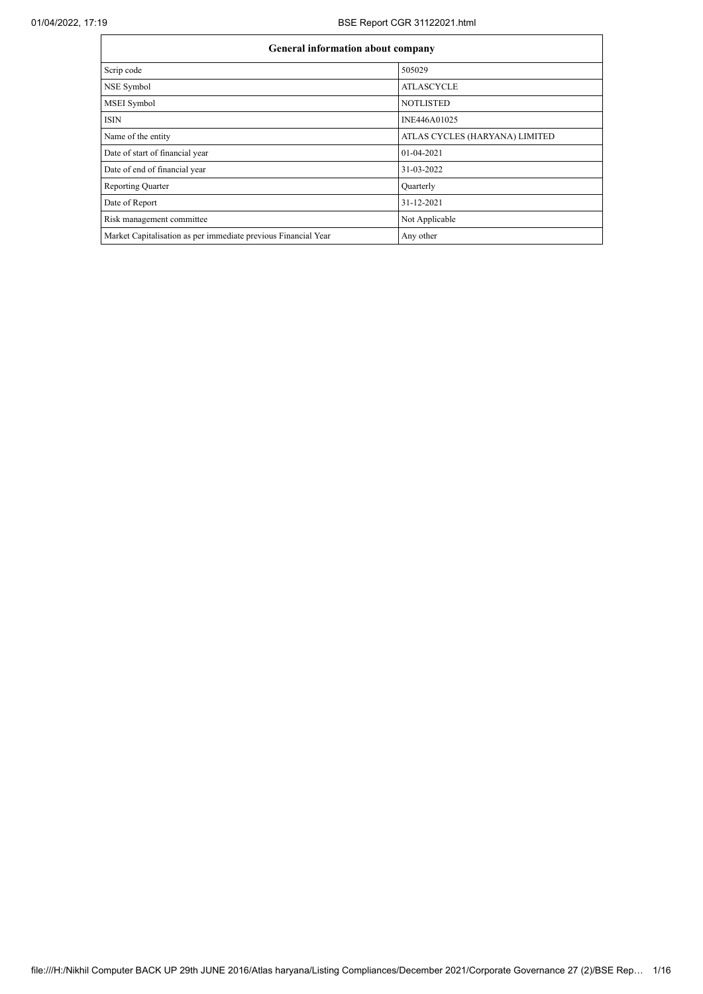## 01/04/2022, 17:19 BSE Report CGR 31122021.html

|                                                                | <b>General information about company</b> |  |  |  |  |  |  |
|----------------------------------------------------------------|------------------------------------------|--|--|--|--|--|--|
| Scrip code                                                     | 505029                                   |  |  |  |  |  |  |
| NSE Symbol                                                     | <b>ATLASCYCLE</b>                        |  |  |  |  |  |  |
| <b>MSEI</b> Symbol                                             | <b>NOTLISTED</b>                         |  |  |  |  |  |  |
| <b>ISIN</b>                                                    | INE446A01025                             |  |  |  |  |  |  |
| Name of the entity                                             | ATLAS CYCLES (HARYANA) LIMITED           |  |  |  |  |  |  |
| Date of start of financial year                                | $01-04-2021$                             |  |  |  |  |  |  |
| Date of end of financial year                                  | 31-03-2022                               |  |  |  |  |  |  |
| <b>Reporting Quarter</b>                                       | Quarterly                                |  |  |  |  |  |  |
| Date of Report                                                 | 31-12-2021                               |  |  |  |  |  |  |
| Risk management committee                                      | Not Applicable                           |  |  |  |  |  |  |
| Market Capitalisation as per immediate previous Financial Year | Any other                                |  |  |  |  |  |  |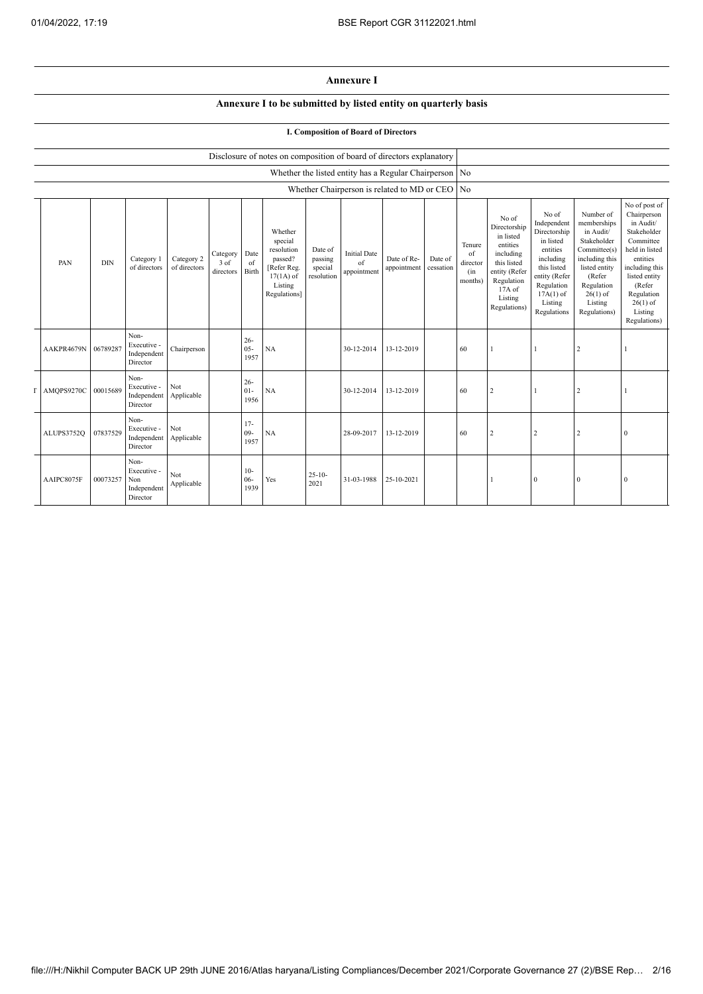## **Annexure I**

## **Annexure I to be submitted by listed entity on quarterly basis**

## **I. Composition of Board of Directors**

|            |            |                                                       |                            |                                 |                          | Disclosure of notes on composition of board of directors explanatory                                 |                                             |                                                          |                            |                      |                                            |                                                                                                                                                  |                                                                                                                                                                   |                                                                                                                                                                          |                                                                                                                                                                                                         |
|------------|------------|-------------------------------------------------------|----------------------------|---------------------------------|--------------------------|------------------------------------------------------------------------------------------------------|---------------------------------------------|----------------------------------------------------------|----------------------------|----------------------|--------------------------------------------|--------------------------------------------------------------------------------------------------------------------------------------------------|-------------------------------------------------------------------------------------------------------------------------------------------------------------------|--------------------------------------------------------------------------------------------------------------------------------------------------------------------------|---------------------------------------------------------------------------------------------------------------------------------------------------------------------------------------------------------|
|            |            |                                                       |                            |                                 |                          |                                                                                                      |                                             | Whether the listed entity has a Regular Chairperson   No |                            |                      |                                            |                                                                                                                                                  |                                                                                                                                                                   |                                                                                                                                                                          |                                                                                                                                                                                                         |
|            |            |                                                       |                            |                                 |                          |                                                                                                      |                                             | Whether Chairperson is related to MD or CEO No           |                            |                      |                                            |                                                                                                                                                  |                                                                                                                                                                   |                                                                                                                                                                          |                                                                                                                                                                                                         |
| PAN        | <b>DIN</b> | Category 1<br>of directors                            | Category 2<br>of directors | Category<br>$3$ of<br>directors | Date<br>of<br>Birth      | Whether<br>special<br>resolution<br>passed?<br>[Refer Reg.<br>$17(1A)$ of<br>Listing<br>Regulations] | Date of<br>passing<br>special<br>resolution | <b>Initial Date</b><br>of<br>appointment                 | Date of Re-<br>appointment | Date of<br>cessation | Tenure<br>of<br>director<br>(in<br>months) | No of<br>Directorship<br>in listed<br>entities<br>including<br>this listed<br>entity (Refer<br>Regulation<br>$17A$ of<br>Listing<br>Regulations) | No of<br>Independent<br>Directorship<br>in listed<br>entities<br>including<br>this listed<br>entity (Refer<br>Regulation<br>$17A(1)$ of<br>Listing<br>Regulations | Number of<br>memberships<br>in Audit/<br>Stakeholder<br>Committee(s)<br>including this<br>listed entity<br>(Refer<br>Regulation<br>$26(1)$ of<br>Listing<br>Regulations) | No of post of<br>Chairperson<br>in Audit/<br>Stakeholder<br>Committee<br>held in listed<br>entities<br>including this<br>listed entity<br>(Refer<br>Regulation<br>$26(1)$ of<br>Listing<br>Regulations) |
| AAKPR4679N | 06789287   | Non-<br>Executive -<br>Independent<br>Director        | Chairperson                |                                 | $26 -$<br>$05 -$<br>1957 | $_{\rm NA}$                                                                                          |                                             | 30-12-2014                                               | 13-12-2019                 |                      | 60                                         |                                                                                                                                                  |                                                                                                                                                                   | $\overline{2}$                                                                                                                                                           |                                                                                                                                                                                                         |
| AMQPS9270C | 00015689   | Non-<br>Executive -<br>Independent<br>Director        | Not<br>Applicable          |                                 | $26 -$<br>$01 -$<br>1956 | NA                                                                                                   |                                             | 30-12-2014                                               | 13-12-2019                 |                      | 60                                         | $\overline{2}$                                                                                                                                   |                                                                                                                                                                   | 2                                                                                                                                                                        |                                                                                                                                                                                                         |
| ALUPS3752Q | 07837529   | Non-<br>Executive -<br>Independent<br>Director        | Not<br>Applicable          |                                 | $17 -$<br>$09 -$<br>1957 | $_{\rm NA}$                                                                                          |                                             | 28-09-2017                                               | 13-12-2019                 |                      | 60                                         | $\overline{2}$                                                                                                                                   | $\overline{2}$                                                                                                                                                    | $\overline{2}$                                                                                                                                                           | $\Omega$                                                                                                                                                                                                |
| AAIPC8075F | 00073257   | Non-<br>Executive -<br>Non<br>Independent<br>Director | <b>Not</b><br>Applicable   |                                 | $10-$<br>$06 -$<br>1939  | Yes                                                                                                  | $25 - 10 -$<br>2021                         | 31-03-1988                                               | 25-10-2021                 |                      |                                            |                                                                                                                                                  | $\mathbf{0}$                                                                                                                                                      | $\Omega$                                                                                                                                                                 | $\theta$                                                                                                                                                                                                |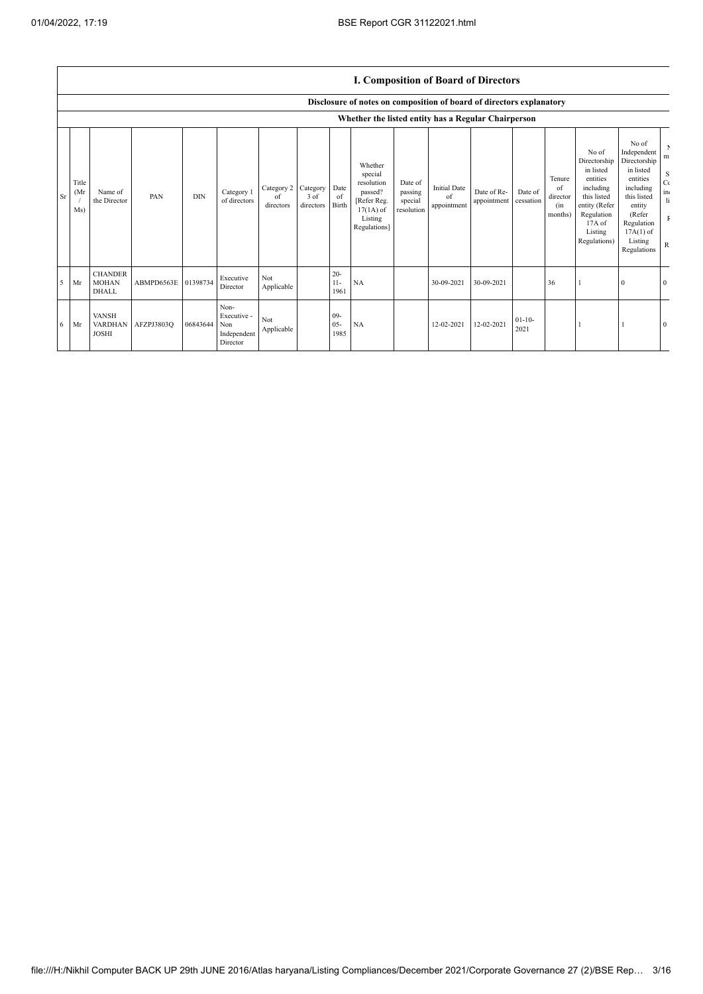I

|           |                      |                                                     |            |            |                                                       |                               |                               |                         |                                                                                                      |                                             |                                          | <b>I. Composition of Board of Directors</b> |                      |                                            |                                                                                                                                                |                                                                                                                                                                      |                                                                               |
|-----------|----------------------|-----------------------------------------------------|------------|------------|-------------------------------------------------------|-------------------------------|-------------------------------|-------------------------|------------------------------------------------------------------------------------------------------|---------------------------------------------|------------------------------------------|---------------------------------------------|----------------------|--------------------------------------------|------------------------------------------------------------------------------------------------------------------------------------------------|----------------------------------------------------------------------------------------------------------------------------------------------------------------------|-------------------------------------------------------------------------------|
|           |                      |                                                     |            |            |                                                       |                               |                               |                         | Disclosure of notes on composition of board of directors explanatory                                 |                                             |                                          |                                             |                      |                                            |                                                                                                                                                |                                                                                                                                                                      |                                                                               |
|           |                      | Whether the listed entity has a Regular Chairperson |            |            |                                                       |                               |                               |                         |                                                                                                      |                                             |                                          |                                             |                      |                                            |                                                                                                                                                |                                                                                                                                                                      |                                                                               |
| <b>Sr</b> | Title<br>(Mr)<br>Ms) | Name of<br>the Director                             | PAN        | <b>DIN</b> | Category 1<br>of directors                            | Category 2<br>of<br>directors | Category<br>3 of<br>directors | Date<br>of<br>Birth     | Whether<br>special<br>resolution<br>passed?<br>[Refer Reg.<br>$17(1A)$ of<br>Listing<br>Regulations] | Date of<br>passing<br>special<br>resolution | <b>Initial Date</b><br>of<br>appointment | Date of Re-<br>appointment                  | Date of<br>cessation | Tenure<br>of<br>director<br>(in<br>months) | No of<br>Directorship<br>in listed<br>entities<br>including<br>this listed<br>entity (Refer<br>Regulation<br>17A of<br>Listing<br>Regulations) | No of<br>Independent<br>Directorship<br>in listed<br>entities<br>including<br>this listed<br>entity<br>(Refer<br>Regulation<br>$17A(1)$ of<br>Listing<br>Regulations | Þ<br>m<br>S<br>$C\zeta$<br>in<br>$\mathbf{h}$<br>$\mathbf{F}$<br>$\mathbb{R}$ |
| 5         | Mr                   | <b>CHANDER</b><br><b>MOHAN</b><br><b>DHALL</b>      | ABMPD6563E | 01398734   | Executive<br>Director                                 | Not<br>Applicable             |                               | $20 -$<br>$11-$<br>1961 | NA                                                                                                   |                                             | 30-09-2021                               | 30-09-2021                                  |                      | 36                                         |                                                                                                                                                | 0                                                                                                                                                                    | $\theta$                                                                      |
| 6         | Mr                   | <b>VANSH</b><br><b>VARDHAN</b><br><b>JOSHI</b>      | AFZPJ3803Q | 06843644   | Non-<br>Executive -<br>Non<br>Independent<br>Director | Not<br>Applicable             |                               | $09-$<br>$05 -$<br>1985 | <b>NA</b>                                                                                            |                                             | 12-02-2021                               | 12-02-2021                                  | $01-10-$<br>2021     |                                            |                                                                                                                                                |                                                                                                                                                                      | $\mathbf{0}$                                                                  |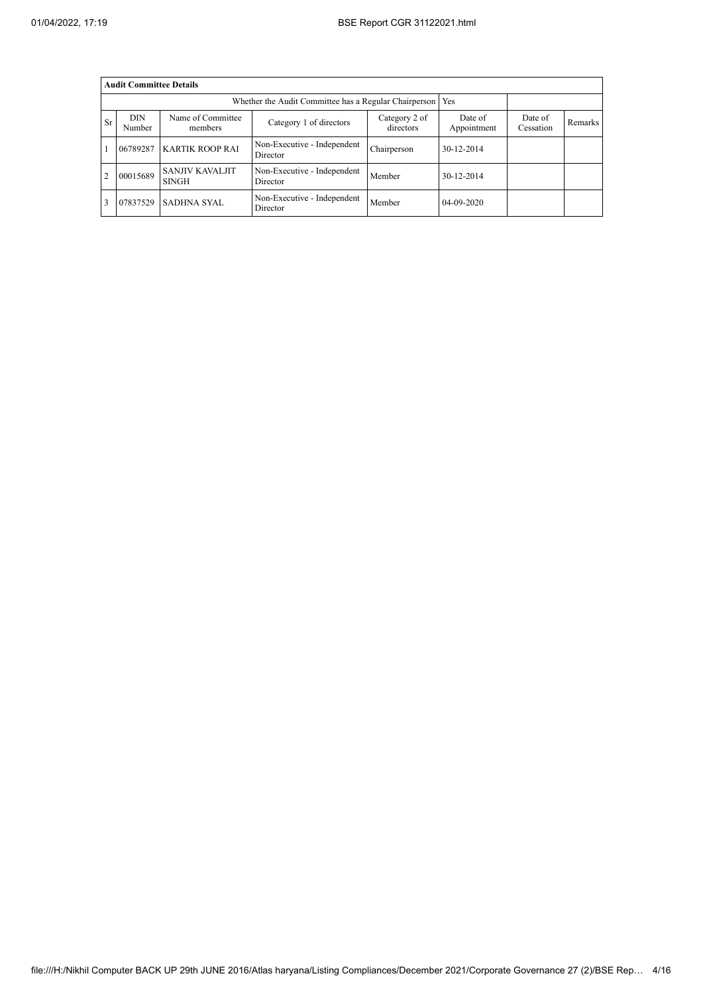|                | <b>Audit Committee Details</b> |                                        |                                                       |                            |                        |                      |         |  |  |  |
|----------------|--------------------------------|----------------------------------------|-------------------------------------------------------|----------------------------|------------------------|----------------------|---------|--|--|--|
|                |                                |                                        | Whether the Audit Committee has a Regular Chairperson | Yes                        |                        |                      |         |  |  |  |
| <b>Sr</b>      | <b>DIN</b><br>Number           | Name of Committee<br>members           | Category 1 of directors                               | Category 2 of<br>directors | Date of<br>Appointment | Date of<br>Cessation | Remarks |  |  |  |
|                | 06789287                       | <b>KARTIK ROOP RAI</b>                 | Non-Executive - Independent<br>Director               | Chairperson                | 30-12-2014             |                      |         |  |  |  |
| $\overline{2}$ | 00015689                       | <b>SANJIV KAVALJIT</b><br><b>SINGH</b> | Non-Executive - Independent<br>Director               | Member                     | 30-12-2014             |                      |         |  |  |  |
| 3              | 07837529                       | <b>SADHNA SYAL</b>                     | Non-Executive - Independent<br>Director               | Member                     | 04-09-2020             |                      |         |  |  |  |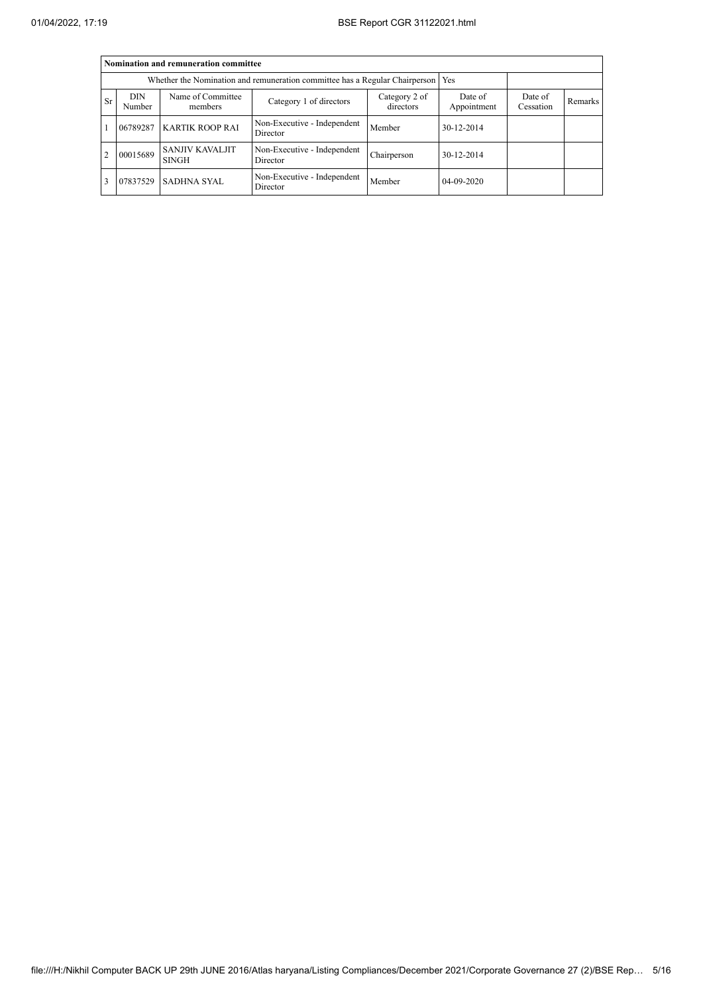|                |                                                                             | Nomination and remuneration committee  |                                         |                      |            |  |  |
|----------------|-----------------------------------------------------------------------------|----------------------------------------|-----------------------------------------|----------------------|------------|--|--|
|                | Whether the Nomination and remuneration committee has a Regular Chairperson |                                        |                                         |                      |            |  |  |
| <b>Sr</b>      | <b>DIN</b><br>Number                                                        | Name of Committee<br>members           | Date of<br>Appointment                  | Date of<br>Cessation | Remarks    |  |  |
|                | 06789287                                                                    | <b>KARTIK ROOP RAI</b>                 | Non-Executive - Independent<br>Director | Member               | 30-12-2014 |  |  |
| $\overline{2}$ | 00015689                                                                    | <b>SANJIV KAVALJIT</b><br><b>SINGH</b> | Non-Executive - Independent<br>Director | Chairperson          | 30-12-2014 |  |  |
| 3              | 07837529                                                                    | SADHNA SYAL                            | Non-Executive - Independent<br>Director | Member               | 04-09-2020 |  |  |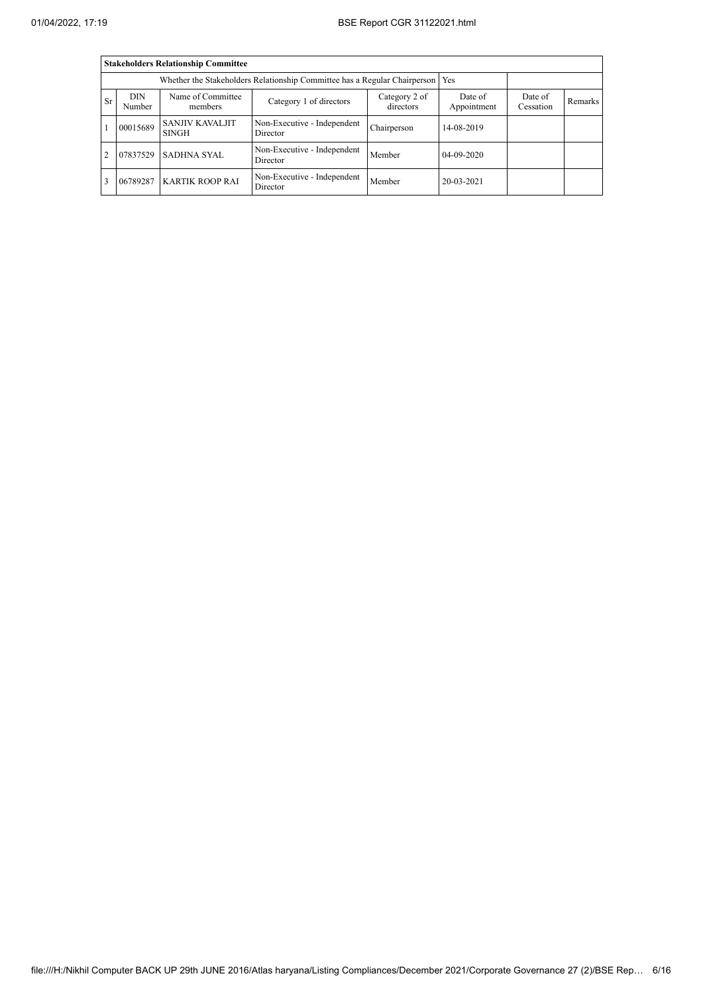|                |                                                                           | <b>Stakeholders Relationship Committee</b> |                                         |                      |            |  |  |
|----------------|---------------------------------------------------------------------------|--------------------------------------------|-----------------------------------------|----------------------|------------|--|--|
|                | Whether the Stakeholders Relationship Committee has a Regular Chairperson |                                            |                                         |                      |            |  |  |
| <b>Sr</b>      | <b>DIN</b><br>Number                                                      | Name of Committee<br>members               | Date of<br>Appointment                  | Date of<br>Cessation | Remarks    |  |  |
|                | 00015689                                                                  | <b>SANJIV KAVALJIT</b><br><b>SINGH</b>     | Non-Executive - Independent<br>Director | Chairperson          | 14-08-2019 |  |  |
| $\overline{2}$ | 07837529                                                                  | <b>SADHNA SYAL</b>                         | Non-Executive - Independent<br>Director | Member               | 04-09-2020 |  |  |
| 3              | 06789287                                                                  | <b>KARTIK ROOP RAI</b>                     | Non-Executive - Independent<br>Director | Member               | 20-03-2021 |  |  |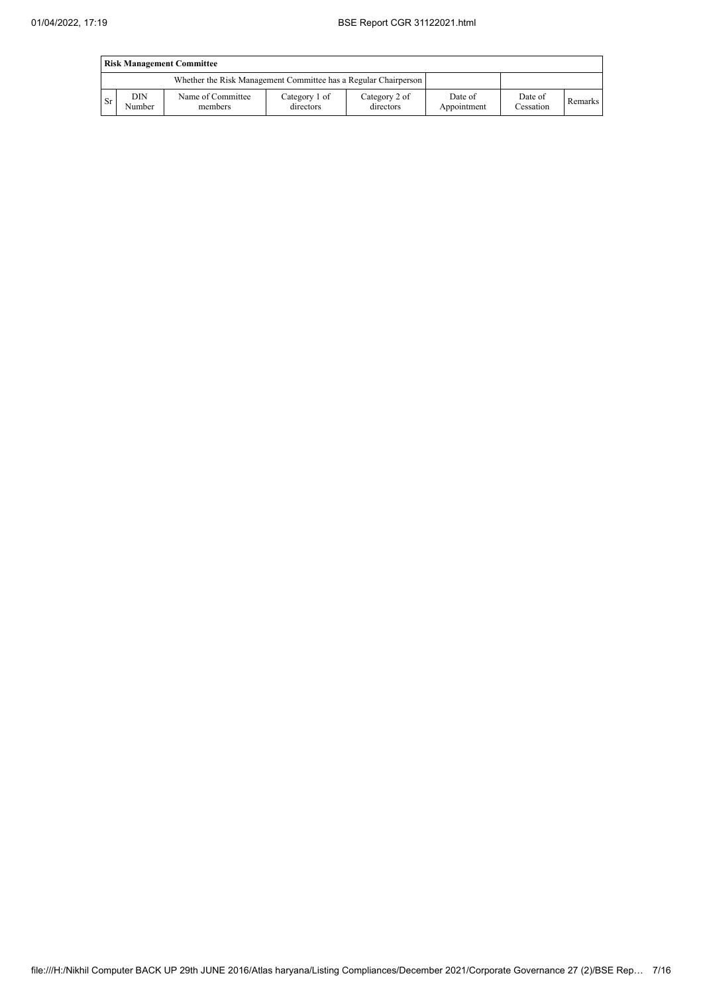|           | <b>Risk Management Committee</b> |                                                                 |                            |                            |                        |                      |         |  |
|-----------|----------------------------------|-----------------------------------------------------------------|----------------------------|----------------------------|------------------------|----------------------|---------|--|
|           |                                  | Whether the Risk Management Committee has a Regular Chairperson |                            |                            |                        |                      |         |  |
| <b>Sr</b> | DIN<br>Number                    | Name of Committee<br>members                                    | Category 1 of<br>directors | Category 2 of<br>directors | Date of<br>Appointment | Date of<br>Cessation | Remarks |  |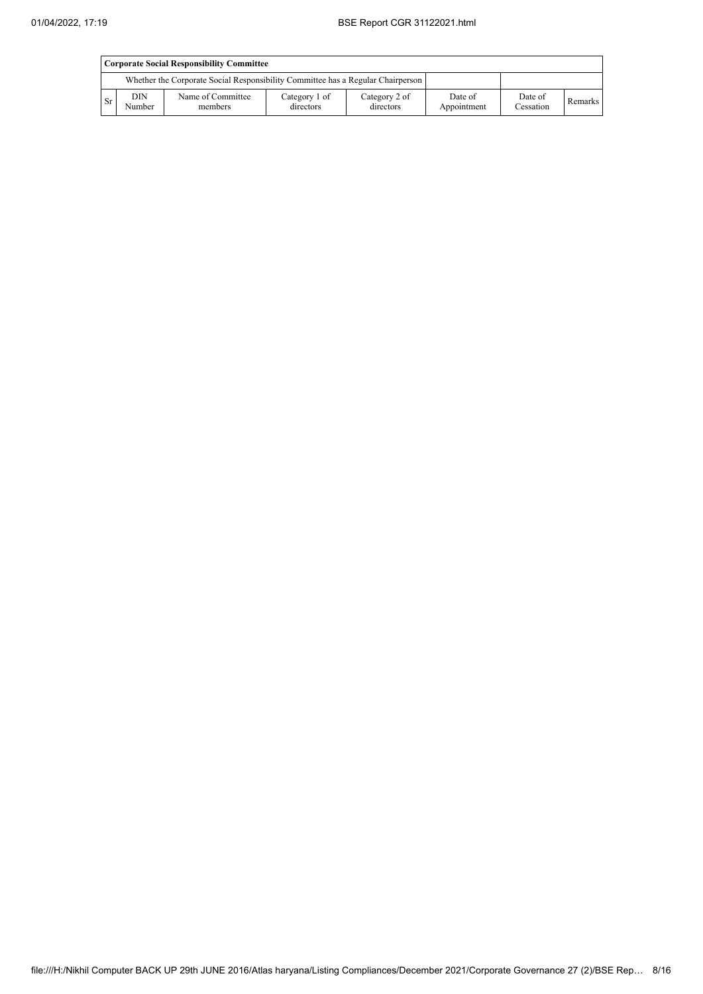|      | <b>Corporate Social Responsibility Committee</b> |                                                                                 |                            |                            |                        |                      |         |  |
|------|--------------------------------------------------|---------------------------------------------------------------------------------|----------------------------|----------------------------|------------------------|----------------------|---------|--|
|      |                                                  | Whether the Corporate Social Responsibility Committee has a Regular Chairperson |                            |                            |                        |                      |         |  |
| l Sr | <b>DIN</b><br>Number                             | Name of Committee<br>members                                                    | Category 1 of<br>directors | Category 2 of<br>directors | Date of<br>Appointment | Date of<br>Cessation | Remarks |  |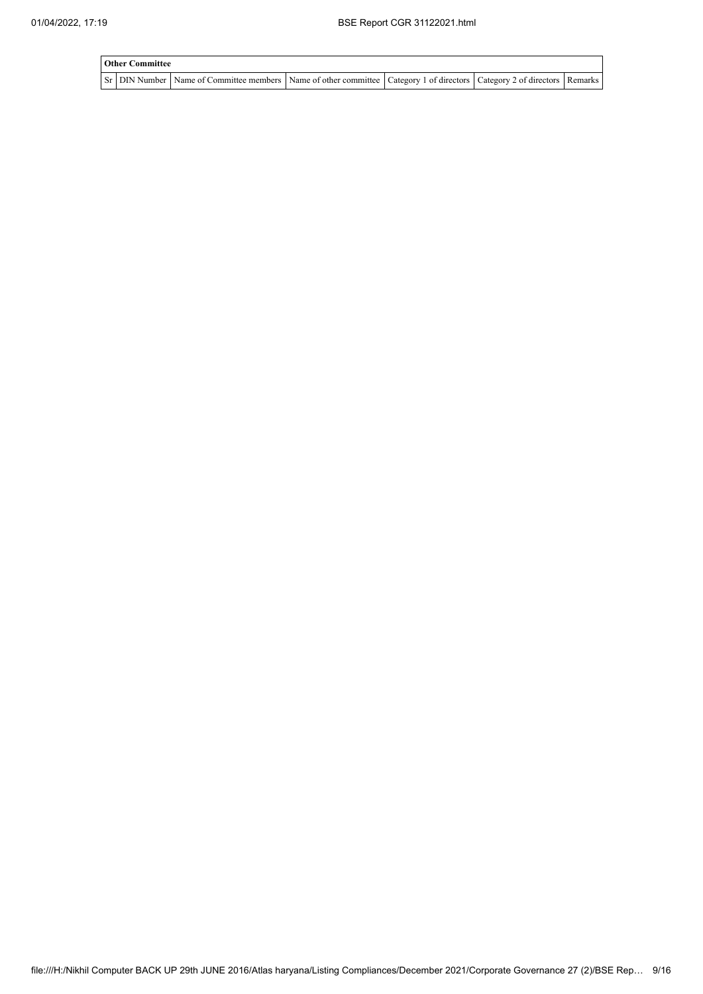| <b>Other Committee</b> |                                                                                                                                     |  |  |  |  |  |  |  |  |
|------------------------|-------------------------------------------------------------------------------------------------------------------------------------|--|--|--|--|--|--|--|--|
|                        | Sr   DIN Number   Name of Committee members   Name of other committee   Category 1 of directors   Category 2 of directors   Remarks |  |  |  |  |  |  |  |  |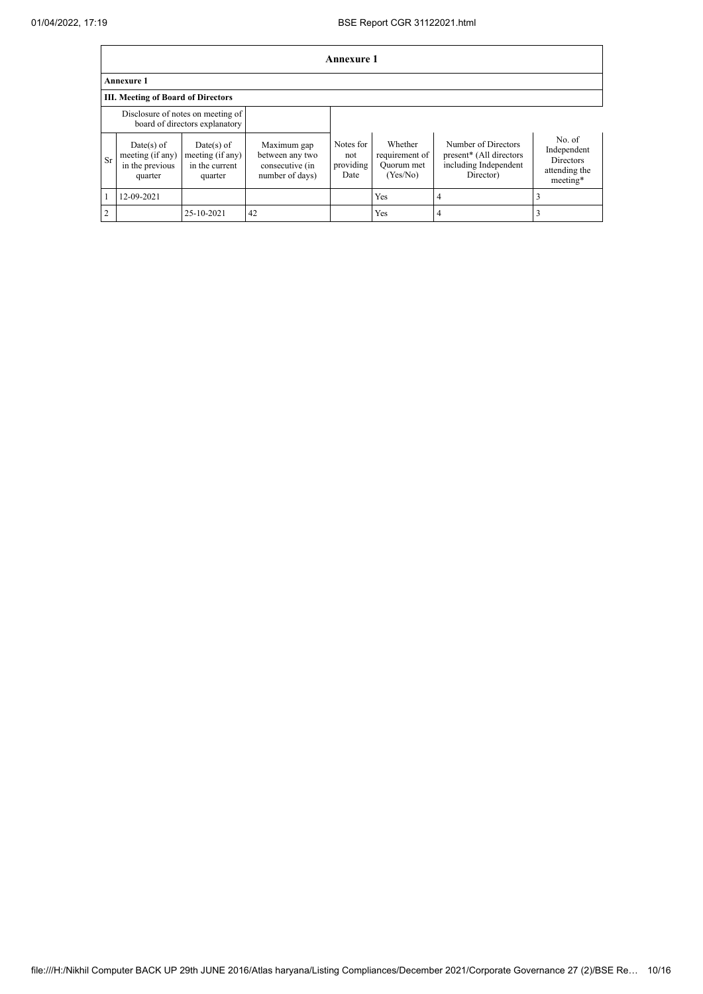|               | Annexure 1                                                   |                                                                     |                                                                      |                                       |                                                     |                                                                                      |                                                                        |  |  |
|---------------|--------------------------------------------------------------|---------------------------------------------------------------------|----------------------------------------------------------------------|---------------------------------------|-----------------------------------------------------|--------------------------------------------------------------------------------------|------------------------------------------------------------------------|--|--|
|               | <b>Annexure 1</b>                                            |                                                                     |                                                                      |                                       |                                                     |                                                                                      |                                                                        |  |  |
|               | <b>III. Meeting of Board of Directors</b>                    |                                                                     |                                                                      |                                       |                                                     |                                                                                      |                                                                        |  |  |
|               |                                                              | Disclosure of notes on meeting of<br>board of directors explanatory |                                                                      |                                       |                                                     |                                                                                      |                                                                        |  |  |
| Sr            | Date(s) of<br>meeting (if any)<br>in the previous<br>quarter | $Date(s)$ of<br>meeting (if any)<br>in the current<br>quarter       | Maximum gap<br>between any two<br>consecutive (in<br>number of days) | Notes for<br>not<br>providing<br>Date | Whether<br>requirement of<br>Quorum met<br>(Yes/No) | Number of Directors<br>present* (All directors<br>including Independent<br>Director) | No. of<br>Independent<br><b>Directors</b><br>attending the<br>meeting* |  |  |
|               | 12-09-2021                                                   |                                                                     |                                                                      |                                       | <b>Yes</b>                                          | 4                                                                                    |                                                                        |  |  |
| $\mathcal{D}$ |                                                              | 25-10-2021                                                          | 42                                                                   |                                       | Yes                                                 | 4                                                                                    |                                                                        |  |  |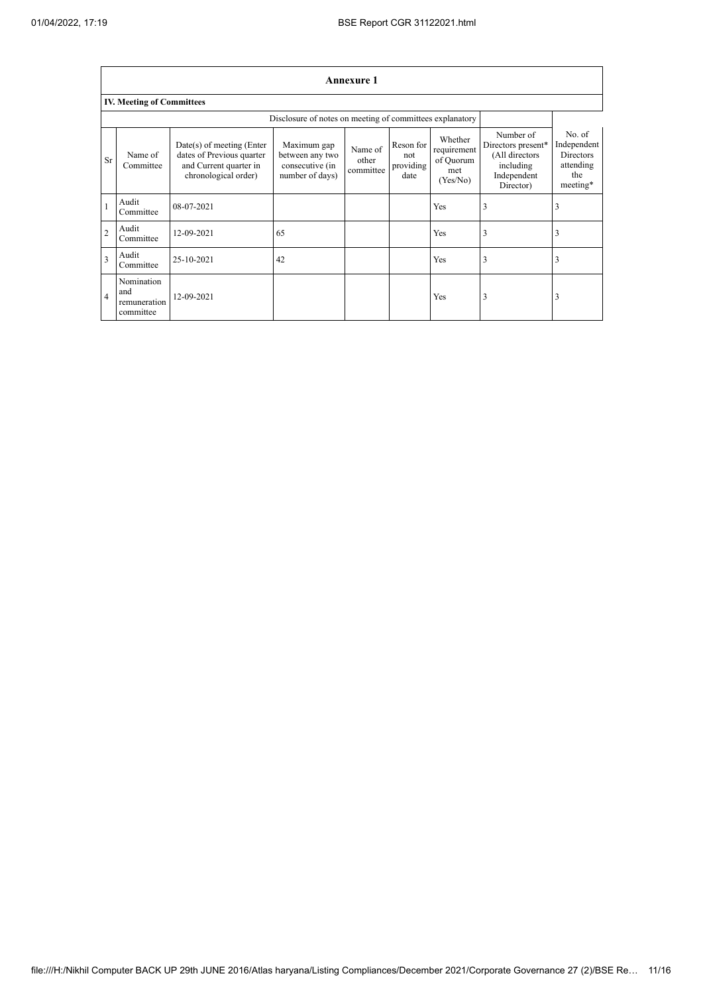٦

|                | <b>Annexure 1</b>                                        |                                                                                                            |                                                                      |                               |                                       |                                                        |                                                                                            |                                                                    |  |
|----------------|----------------------------------------------------------|------------------------------------------------------------------------------------------------------------|----------------------------------------------------------------------|-------------------------------|---------------------------------------|--------------------------------------------------------|--------------------------------------------------------------------------------------------|--------------------------------------------------------------------|--|
|                | <b>IV. Meeting of Committees</b>                         |                                                                                                            |                                                                      |                               |                                       |                                                        |                                                                                            |                                                                    |  |
|                | Disclosure of notes on meeting of committees explanatory |                                                                                                            |                                                                      |                               |                                       |                                                        |                                                                                            |                                                                    |  |
| Sr             | Name of<br>Committee                                     | $Date(s)$ of meeting (Enter<br>dates of Previous quarter<br>and Current quarter in<br>chronological order) | Maximum gap<br>between any two<br>consecutive (in<br>number of days) | Name of<br>other<br>committee | Reson for<br>not<br>providing<br>date | Whether<br>requirement<br>of Quorum<br>met<br>(Yes/No) | Number of<br>Directors present*<br>(All directors<br>including<br>Independent<br>Director) | No. of<br>Independent<br>Directors<br>attending<br>the<br>meeting* |  |
|                | Audit<br>Committee                                       | 08-07-2021                                                                                                 |                                                                      |                               |                                       | Yes                                                    | 3                                                                                          | 3                                                                  |  |
| $\overline{2}$ | Audit<br>Committee                                       | 12-09-2021                                                                                                 | 65                                                                   |                               |                                       | Yes                                                    | 3                                                                                          | 3                                                                  |  |
| 3              | Audit<br>Committee                                       | 25-10-2021                                                                                                 | 42                                                                   |                               |                                       | Yes                                                    | 3                                                                                          | 3                                                                  |  |
| $\overline{4}$ | Nomination<br>and<br>remuneration<br>committee           | 12-09-2021                                                                                                 |                                                                      |                               |                                       | Yes                                                    | 3                                                                                          | 3                                                                  |  |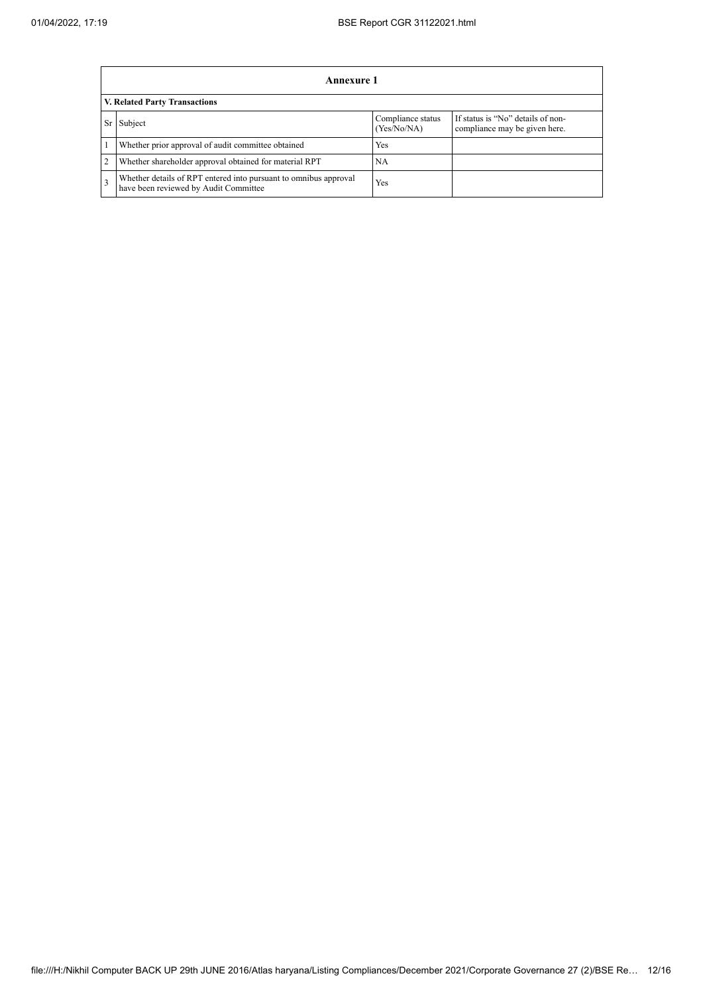|                | Annexure 1                                                                                                |                                  |                                                                    |  |  |  |  |  |
|----------------|-----------------------------------------------------------------------------------------------------------|----------------------------------|--------------------------------------------------------------------|--|--|--|--|--|
|                | <b>V. Related Party Transactions</b>                                                                      |                                  |                                                                    |  |  |  |  |  |
| Sr             | Subject                                                                                                   | Compliance status<br>(Yes/No/NA) | If status is "No" details of non-<br>compliance may be given here. |  |  |  |  |  |
|                | Whether prior approval of audit committee obtained                                                        | Yes                              |                                                                    |  |  |  |  |  |
| $\overline{2}$ | Whether shareholder approval obtained for material RPT                                                    | NA                               |                                                                    |  |  |  |  |  |
| 3              | Whether details of RPT entered into pursuant to omnibus approval<br>have been reviewed by Audit Committee | Yes                              |                                                                    |  |  |  |  |  |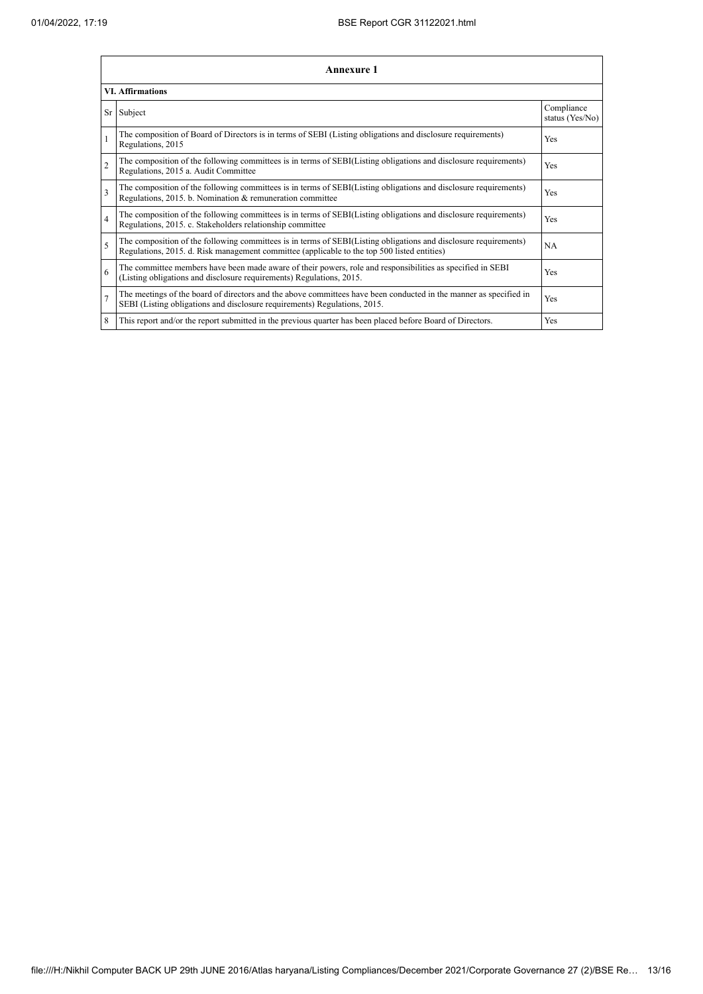|                         | Annexure 1                                                                                                                                                                                                      |                               |  |  |  |
|-------------------------|-----------------------------------------------------------------------------------------------------------------------------------------------------------------------------------------------------------------|-------------------------------|--|--|--|
| <b>VI. Affirmations</b> |                                                                                                                                                                                                                 |                               |  |  |  |
|                         | Sr Subject                                                                                                                                                                                                      | Compliance<br>status (Yes/No) |  |  |  |
|                         | The composition of Board of Directors is in terms of SEBI (Listing obligations and disclosure requirements)<br>Regulations, 2015                                                                                | Yes                           |  |  |  |
| $\overline{2}$          | The composition of the following committees is in terms of SEBI(Listing obligations and disclosure requirements)<br>Regulations, 2015 a. Audit Committee                                                        | Yes                           |  |  |  |
| $\overline{\mathbf{3}}$ | The composition of the following committees is in terms of SEBI(Listing obligations and disclosure requirements)<br>Regulations, 2015. b. Nomination & remuneration committee                                   | Yes                           |  |  |  |
| $\overline{4}$          | The composition of the following committees is in terms of SEBI(Listing obligations and disclosure requirements)<br>Regulations, 2015. c. Stakeholders relationship committee                                   | Yes                           |  |  |  |
| 5                       | The composition of the following committees is in terms of SEBI(Listing obligations and disclosure requirements)<br>Regulations, 2015. d. Risk management committee (applicable to the top 500 listed entities) | NA                            |  |  |  |
| 6                       | The committee members have been made aware of their powers, role and responsibilities as specified in SEBI<br>(Listing obligations and disclosure requirements) Regulations, 2015.                              | Yes                           |  |  |  |
| $\overline{7}$          | The meetings of the board of directors and the above committees have been conducted in the manner as specified in<br>SEBI (Listing obligations and disclosure requirements) Regulations, 2015.                  | Yes                           |  |  |  |
| 8                       | This report and/or the report submitted in the previous quarter has been placed before Board of Directors.                                                                                                      | Yes                           |  |  |  |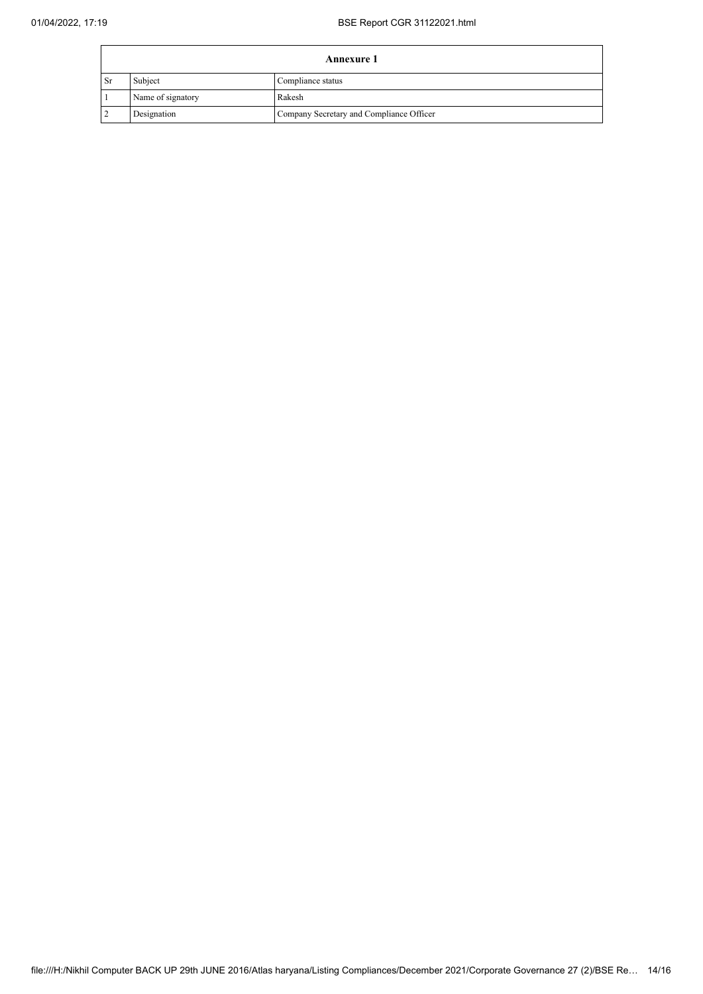| <b>Annexure 1</b> |                   |                                          |
|-------------------|-------------------|------------------------------------------|
| <b>Sr</b>         | Subject           | Compliance status                        |
|                   | Name of signatory | Rakesh                                   |
|                   | Designation       | Company Secretary and Compliance Officer |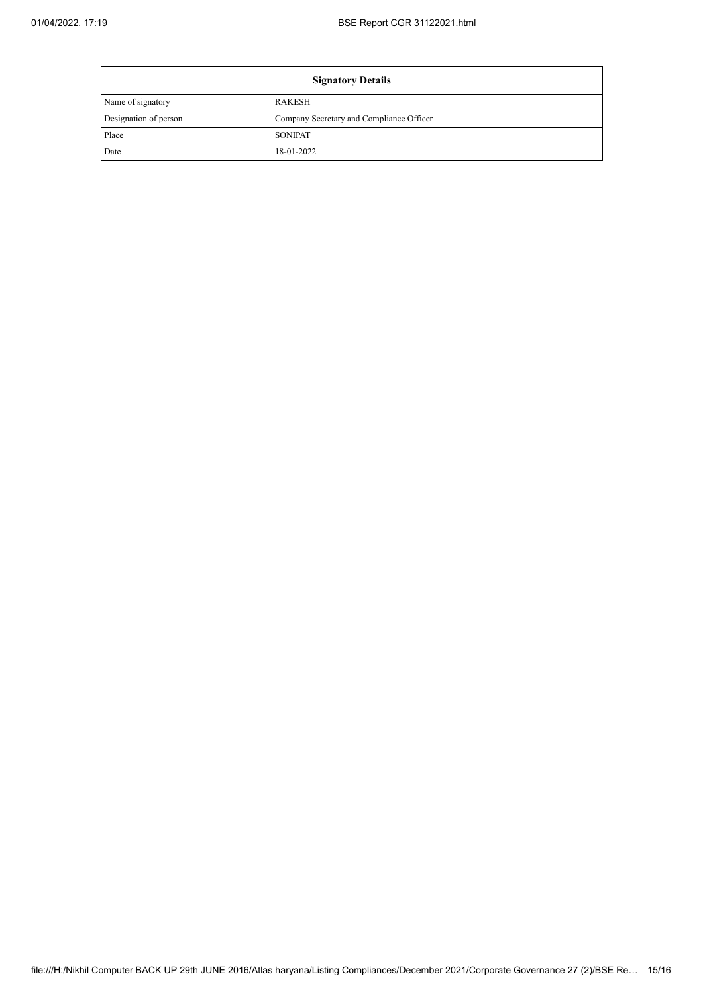$\mathbf{r}$ 

| <b>Signatory Details</b> |                                          |  |
|--------------------------|------------------------------------------|--|
| Name of signatory        | <b>RAKESH</b>                            |  |
| Designation of person    | Company Secretary and Compliance Officer |  |
| Place                    | <b>SONIPAT</b>                           |  |
| Date                     | 18-01-2022                               |  |